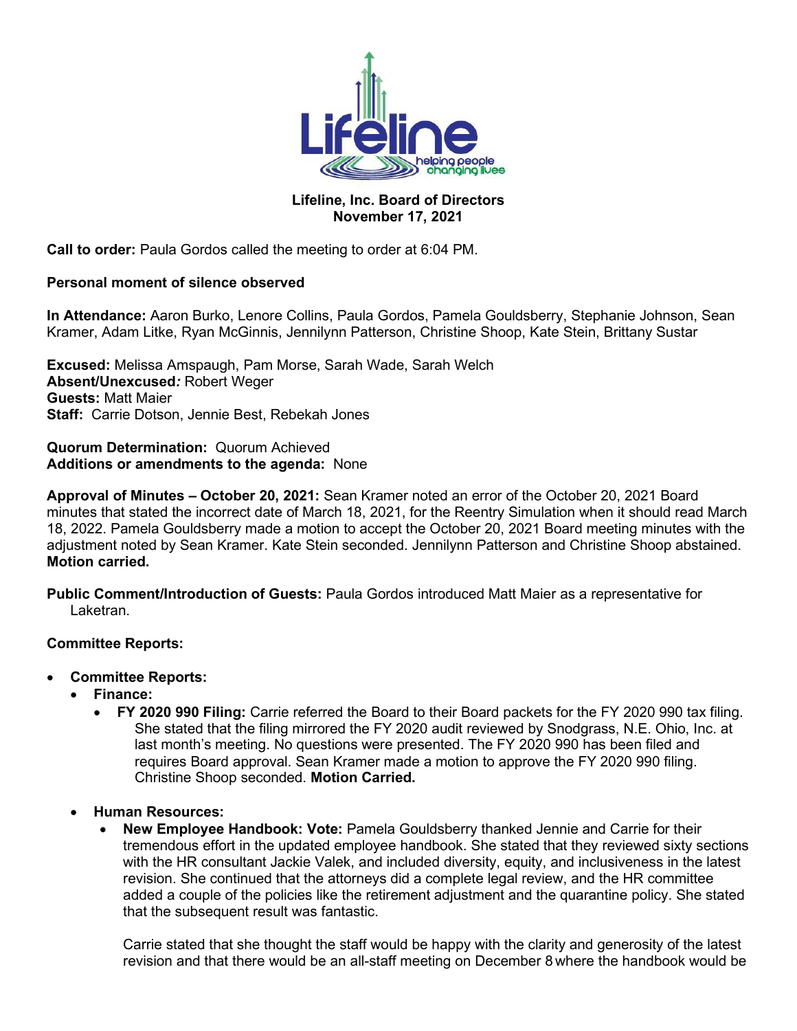

## **Lifeline, Inc. Board of Directors November 17, 2021**

**Call to order:** Paula Gordos called the meeting to order at 6:04 PM.

## **Personal moment of silence observed**

**In Attendance:** Aaron Burko, Lenore Collins, Paula Gordos, Pamela Gouldsberry, Stephanie Johnson, Sean Kramer, Adam Litke, Ryan McGinnis, Jennilynn Patterson, Christine Shoop, Kate Stein, Brittany Sustar

**Excused:** Melissa Amspaugh, Pam Morse, Sarah Wade, Sarah Welch **Absent/Unexcused***:* Robert Weger **Guests:** Matt Maier **Staff:** Carrie Dotson, Jennie Best, Rebekah Jones

### **Quorum Determination:** Quorum Achieved **Additions or amendments to the agenda:** None

**Approval of Minutes – October 20, 2021:** Sean Kramer noted an error of the October 20, 2021 Board minutes that stated the incorrect date of March 18, 2021, for the Reentry Simulation when it should read March 18, 2022. Pamela Gouldsberry made a motion to accept the October 20, 2021 Board meeting minutes with the adjustment noted by Sean Kramer. Kate Stein seconded. Jennilynn Patterson and Christine Shoop abstained. **Motion carried.**

**Public Comment/Introduction of Guests:** Paula Gordos introduced Matt Maier as a representative for Laketran.

## **Committee Reports:**

- **Committee Reports:**
	- **Finance:** 
		- **FY 2020 990 Filing:** Carrie referred the Board to their Board packets for the FY 2020 990 tax filing. She stated that the filing mirrored the FY 2020 audit reviewed by Snodgrass, N.E. Ohio, Inc. at last month's meeting. No questions were presented. The FY 2020 990 has been filed and requires Board approval. Sean Kramer made a motion to approve the FY 2020 990 filing. Christine Shoop seconded. **Motion Carried.**
	- **Human Resources:**
		- **New Employee Handbook: Vote:** Pamela Gouldsberry thanked Jennie and Carrie for their tremendous effort in the updated employee handbook. She stated that they reviewed sixty sections with the HR consultant Jackie Valek, and included diversity, equity, and inclusiveness in the latest revision. She continued that the attorneys did a complete legal review, and the HR committee added a couple of the policies like the retirement adjustment and the quarantine policy. She stated that the subsequent result was fantastic.

Carrie stated that she thought the staff would be happy with the clarity and generosity of the latest revision and that there would be an all-staff meeting on December 8 where the handbook would be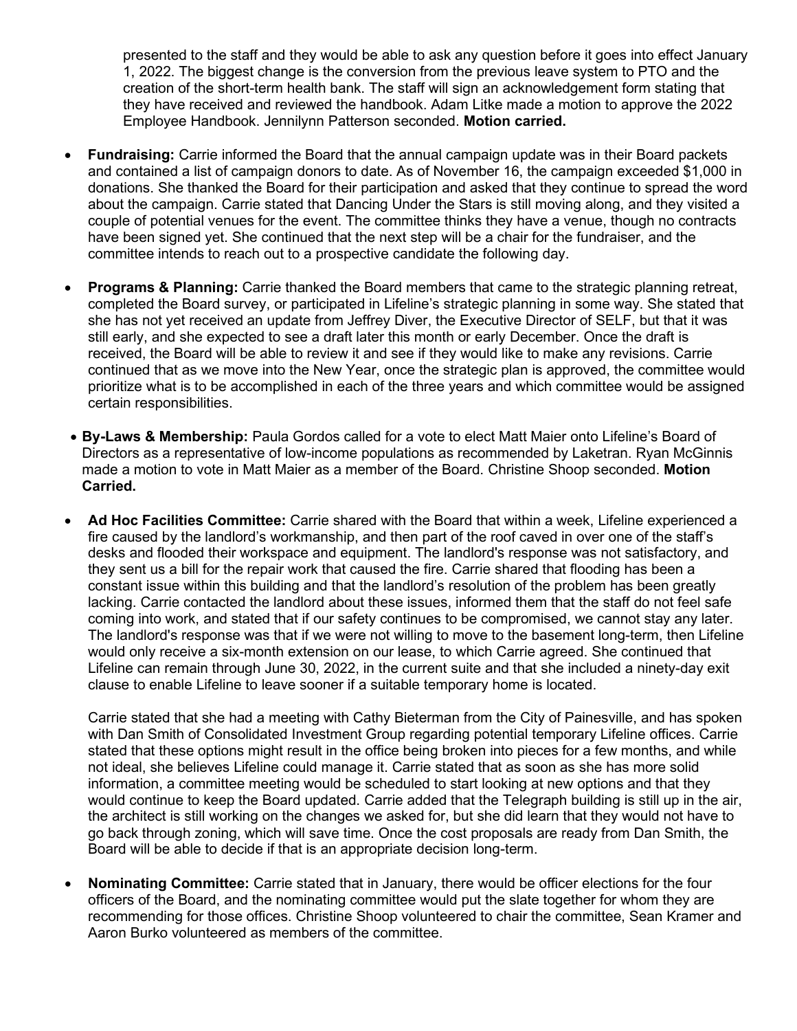presented to the staff and they would be able to ask any question before it goes into effect January 1, 2022. The biggest change is the conversion from the previous leave system to PTO and the creation of the short-term health bank. The staff will sign an acknowledgement form stating that they have received and reviewed the handbook. Adam Litke made a motion to approve the 2022 Employee Handbook. Jennilynn Patterson seconded. **Motion carried.**

- **Fundraising:** Carrie informed the Board that the annual campaign update was in their Board packets and contained a list of campaign donors to date. As of November 16, the campaign exceeded \$1,000 in donations. She thanked the Board for their participation and asked that they continue to spread the word about the campaign. Carrie stated that Dancing Under the Stars is still moving along, and they visited a couple of potential venues for the event. The committee thinks they have a venue, though no contracts have been signed yet. She continued that the next step will be a chair for the fundraiser, and the committee intends to reach out to a prospective candidate the following day.
- **Programs & Planning:** Carrie thanked the Board members that came to the strategic planning retreat, completed the Board survey, or participated in Lifeline's strategic planning in some way. She stated that she has not yet received an update from Jeffrey Diver, the Executive Director of SELF, but that it was still early, and she expected to see a draft later this month or early December. Once the draft is received, the Board will be able to review it and see if they would like to make any revisions. Carrie continued that as we move into the New Year, once the strategic plan is approved, the committee would prioritize what is to be accomplished in each of the three years and which committee would be assigned certain responsibilities.
- **By-Laws & Membership:** Paula Gordos called for a vote to elect Matt Maier onto Lifeline's Board of Directors as a representative of low-income populations as recommended by Laketran. Ryan McGinnis made a motion to vote in Matt Maier as a member of the Board. Christine Shoop seconded. **Motion Carried.**
- **Ad Hoc Facilities Committee:** Carrie shared with the Board that within a week, Lifeline experienced a fire caused by the landlord's workmanship, and then part of the roof caved in over one of the staff's desks and flooded their workspace and equipment. The landlord's response was not satisfactory, and they sent us a bill for the repair work that caused the fire. Carrie shared that flooding has been a constant issue within this building and that the landlord's resolution of the problem has been greatly lacking. Carrie contacted the landlord about these issues, informed them that the staff do not feel safe coming into work, and stated that if our safety continues to be compromised, we cannot stay any later. The landlord's response was that if we were not willing to move to the basement long-term, then Lifeline would only receive a six-month extension on our lease, to which Carrie agreed. She continued that Lifeline can remain through June 30, 2022, in the current suite and that she included a ninety-day exit clause to enable Lifeline to leave sooner if a suitable temporary home is located.

Carrie stated that she had a meeting with Cathy Bieterman from the City of Painesville, and has spoken with Dan Smith of Consolidated Investment Group regarding potential temporary Lifeline offices. Carrie stated that these options might result in the office being broken into pieces for a few months, and while not ideal, she believes Lifeline could manage it. Carrie stated that as soon as she has more solid information, a committee meeting would be scheduled to start looking at new options and that they would continue to keep the Board updated. Carrie added that the Telegraph building is still up in the air, the architect is still working on the changes we asked for, but she did learn that they would not have to go back through zoning, which will save time. Once the cost proposals are ready from Dan Smith, the Board will be able to decide if that is an appropriate decision long-term.

• **Nominating Committee:** Carrie stated that in January, there would be officer elections for the four officers of the Board, and the nominating committee would put the slate together for whom they are recommending for those offices. Christine Shoop volunteered to chair the committee, Sean Kramer and Aaron Burko volunteered as members of the committee.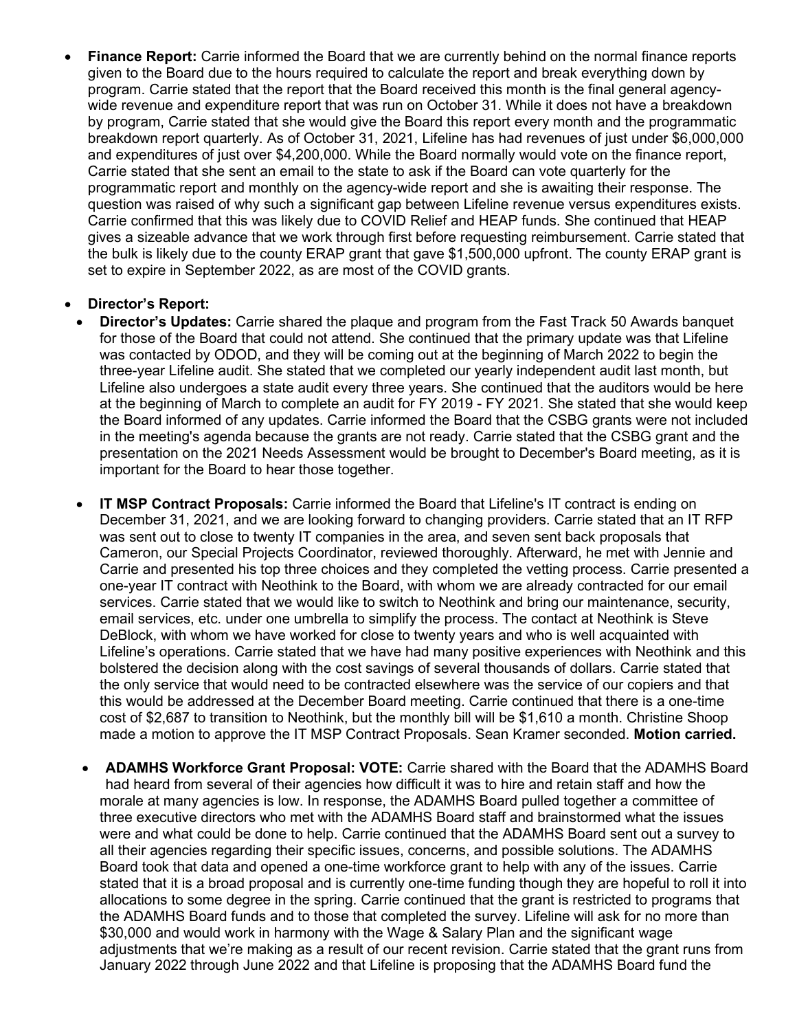• **Finance Report:** Carrie informed the Board that we are currently behind on the normal finance reports given to the Board due to the hours required to calculate the report and break everything down by program. Carrie stated that the report that the Board received this month is the final general agencywide revenue and expenditure report that was run on October 31. While it does not have a breakdown by program, Carrie stated that she would give the Board this report every month and the programmatic breakdown report quarterly. As of October 31, 2021, Lifeline has had revenues of just under \$6,000,000 and expenditures of just over \$4,200,000. While the Board normally would vote on the finance report, Carrie stated that she sent an email to the state to ask if the Board can vote quarterly for the programmatic report and monthly on the agency-wide report and she is awaiting their response. The question was raised of why such a significant gap between Lifeline revenue versus expenditures exists. Carrie confirmed that this was likely due to COVID Relief and HEAP funds. She continued that HEAP gives a sizeable advance that we work through first before requesting reimbursement. Carrie stated that the bulk is likely due to the county ERAP grant that gave \$1,500,000 upfront. The county ERAP grant is set to expire in September 2022, as are most of the COVID grants.

## • **Director's Report:**

- **Director's Updates:** Carrie shared the plaque and program from the Fast Track 50 Awards banquet for those of the Board that could not attend. She continued that the primary update was that Lifeline was contacted by ODOD, and they will be coming out at the beginning of March 2022 to begin the three-year Lifeline audit. She stated that we completed our yearly independent audit last month, but Lifeline also undergoes a state audit every three years. She continued that the auditors would be here at the beginning of March to complete an audit for FY 2019 - FY 2021. She stated that she would keep the Board informed of any updates. Carrie informed the Board that the CSBG grants were not included in the meeting's agenda because the grants are not ready. Carrie stated that the CSBG grant and the presentation on the 2021 Needs Assessment would be brought to December's Board meeting, as it is important for the Board to hear those together.
- **IT MSP Contract Proposals:** Carrie informed the Board that Lifeline's IT contract is ending on December 31, 2021, and we are looking forward to changing providers. Carrie stated that an IT RFP was sent out to close to twenty IT companies in the area, and seven sent back proposals that Cameron, our Special Projects Coordinator, reviewed thoroughly. Afterward, he met with Jennie and Carrie and presented his top three choices and they completed the vetting process. Carrie presented a one-year IT contract with Neothink to the Board, with whom we are already contracted for our email services. Carrie stated that we would like to switch to Neothink and bring our maintenance, security, email services, etc. under one umbrella to simplify the process. The contact at Neothink is Steve DeBlock, with whom we have worked for close to twenty years and who is well acquainted with Lifeline's operations. Carrie stated that we have had many positive experiences with Neothink and this bolstered the decision along with the cost savings of several thousands of dollars. Carrie stated that the only service that would need to be contracted elsewhere was the service of our copiers and that this would be addressed at the December Board meeting. Carrie continued that there is a one-time cost of \$2,687 to transition to Neothink, but the monthly bill will be \$1,610 a month. Christine Shoop made a motion to approve the IT MSP Contract Proposals. Sean Kramer seconded. **Motion carried.**
- **ADAMHS Workforce Grant Proposal: VOTE:** Carrie shared with the Board that the ADAMHS Board had heard from several of their agencies how difficult it was to hire and retain staff and how the morale at many agencies is low. In response, the ADAMHS Board pulled together a committee of three executive directors who met with the ADAMHS Board staff and brainstormed what the issues were and what could be done to help. Carrie continued that the ADAMHS Board sent out a survey to all their agencies regarding their specific issues, concerns, and possible solutions. The ADAMHS Board took that data and opened a one-time workforce grant to help with any of the issues. Carrie stated that it is a broad proposal and is currently one-time funding though they are hopeful to roll it into allocations to some degree in the spring. Carrie continued that the grant is restricted to programs that the ADAMHS Board funds and to those that completed the survey. Lifeline will ask for no more than \$30,000 and would work in harmony with the Wage & Salary Plan and the significant wage adjustments that we're making as a result of our recent revision. Carrie stated that the grant runs from January 2022 through June 2022 and that Lifeline is proposing that the ADAMHS Board fund the